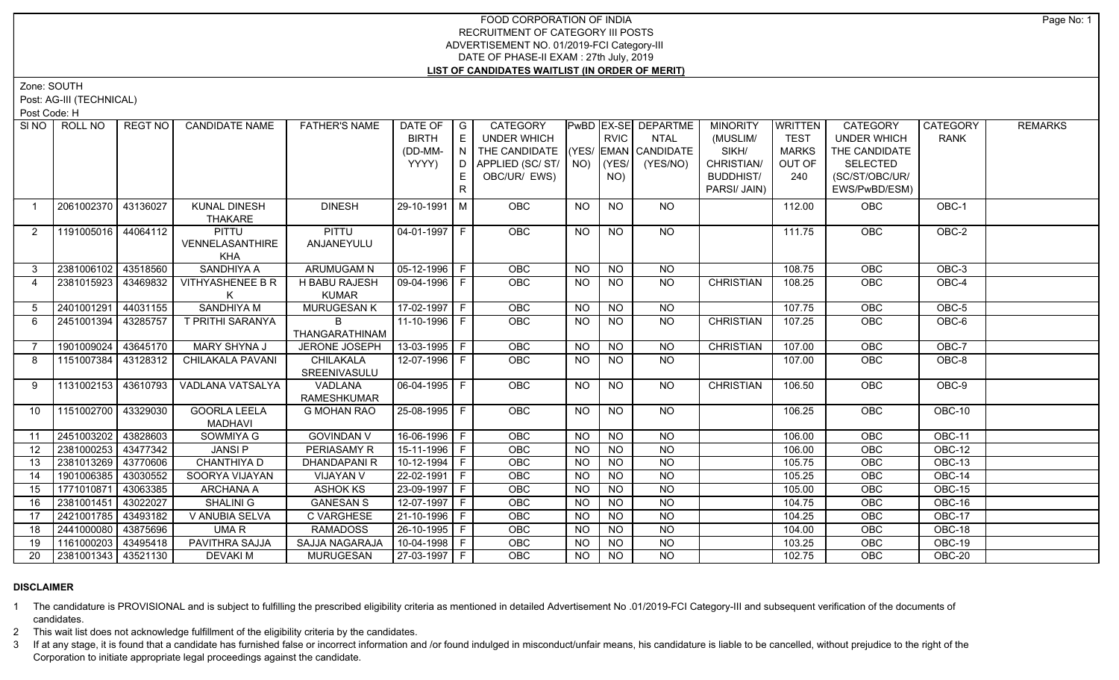# FOOD CORPORATION OF INDIA RECRUITMENT OF CATEGORY III POSTS ADVERTISEMENT NO. 01/2019-FCI Category-III DATE OF PHASE-II EXAM : 27th July, 2019 **LIST OF CANDIDATES WAITLIST (IN ORDER OF MERIT)**

Zone: SOUTH

Post: AG-III (TECHNICAL)

Post Code: H

| SI NO I           | ROLL NO             | REGT NO  | <b>CANDIDATE NAME</b>                         | <b>FATHER'S NAME</b>             | DATE OF<br><b>BIRTH</b><br>(DD-MM-<br>YYYY) | $\overline{\phantom{a}}$ G<br>E<br>N<br>D<br>E<br>$\mathsf{R}$ | CATEGORY<br><b>UNDER WHICH</b><br>THE CANDIDATE (YES/ EMAN CANDIDATE<br>APPLIED (SC/ ST/   NO)   (YES/  <br>OBC/UR/ EWS) |           | <b>RVIC</b><br>NO) | PwBD EX-SE DEPARTME<br><b>NTAL</b><br>(YES/NO) | <b>MINORITY</b><br>(MUSLIM/<br>SIKH/<br>CHRISTIAN/<br><b>BUDDHIST/</b><br>PARSI/ JAIN) | <b>WRITTEN</b><br><b>TEST</b><br><b>MARKS</b><br>OUT OF<br>240 | <b>CATEGORY</b><br>UNDER WHICH<br>THE CANDIDATE<br><b>SELECTED</b><br>(SC/ST/OBC/UR/<br>EWS/PwBD/ESM) | <b>CATEGORY</b><br><b>RANK</b> | <b>REMARKS</b> |
|-------------------|---------------------|----------|-----------------------------------------------|----------------------------------|---------------------------------------------|----------------------------------------------------------------|--------------------------------------------------------------------------------------------------------------------------|-----------|--------------------|------------------------------------------------|----------------------------------------------------------------------------------------|----------------------------------------------------------------|-------------------------------------------------------------------------------------------------------|--------------------------------|----------------|
| $\overline{1}$    | 2061002370          | 43136027 | <b>KUNAL DINESH</b><br>THAKARE                | <b>DINESH</b>                    | 29-10-1991 M                                |                                                                | OBC                                                                                                                      | <b>NO</b> | <b>NO</b>          | NO.                                            |                                                                                        | 112.00                                                         | OBC                                                                                                   | OBC-1                          |                |
| 2                 | 1191005016 44064112 |          | <b>PITTU</b><br>VENNELASANTHIRE<br><b>KHA</b> | <b>PITTU</b><br>ANJANEYULU       | 04-01-1997   F                              |                                                                | OBC                                                                                                                      | <b>NO</b> | <b>NO</b>          | <b>NO</b>                                      |                                                                                        | 111.75                                                         | OBC                                                                                                   | OBC-2                          |                |
| 3                 | 2381006102          | 43518560 | SANDHIYA A                                    | ARUMUGAM N                       | 05-12-1996 F                                |                                                                | OBC                                                                                                                      | <b>NO</b> | <b>NO</b>          | NO                                             |                                                                                        | 108.75                                                         | OBC                                                                                                   | OBC-3                          |                |
| $\overline{4}$    | 2381015923          | 43469832 | <b>VITHYASHENEE B R</b><br>K                  | H BABU RAJESH<br><b>KUMAR</b>    | 09-04-1996   F                              |                                                                | <b>OBC</b>                                                                                                               | <b>NO</b> | NO                 | NO.                                            | <b>CHRISTIAN</b>                                                                       | 108.25                                                         | <b>OBC</b>                                                                                            | OBC-4                          |                |
| 5                 | 2401001291          | 44031155 | <b>SANDHIYA M</b>                             | <b>MURUGESAN K</b>               | $17-02-1997$ F                              |                                                                | OBC                                                                                                                      | <b>NO</b> | <b>NO</b>          | NO                                             |                                                                                        | 107.75                                                         | OBC                                                                                                   | OBC-5                          |                |
| 6                 | 2451001394          | 43285757 | T PRITHI SARANYA                              | B<br>THANGARATHINAM              | 11-10-1996 F                                |                                                                | OBC                                                                                                                      | <b>NO</b> | <b>NO</b>          | NO                                             | <b>CHRISTIAN</b>                                                                       | 107.25                                                         | <b>OBC</b>                                                                                            | OBC-6                          |                |
|                   | 1901009024          | 43645170 | MARY SHYNA J                                  | JERONE JOSEPH                    | $13-03-1995$ F                              |                                                                | OBC                                                                                                                      | <b>NO</b> | N <sub>O</sub>     | $\overline{NQ}$                                | <b>CHRISTIAN</b>                                                                       | 107.00                                                         | OBC                                                                                                   | $OBC-7$                        |                |
| 8                 | 1151007384          | 43128312 | CHILAKALA PAVANI                              | <b>CHILAKALA</b><br>SREENIVASULU | 12-07-1996 F                                |                                                                | OBC                                                                                                                      | <b>NO</b> | $\overline{NO}$    | NO                                             |                                                                                        | 107.00                                                         | OBC                                                                                                   | $OBC-8$                        |                |
| 9                 | 1131002153          | 43610793 | VADLANA VATSALYA                              | <b>VADLANA</b><br>RAMESHKUMAR    | $06-04-1995$ F                              |                                                                | OBC                                                                                                                      | <b>NO</b> | $\overline{NO}$    | $\overline{NO}$                                | <b>CHRISTIAN</b>                                                                       | 106.50                                                         | OBC                                                                                                   | $OBC-9$                        |                |
| 10                | 1151002700          | 43329030 | <b>GOORLA LEELA</b><br><b>MADHAVI</b>         | <b>G MOHAN RAO</b>               | 25-08-1995 F                                |                                                                | OBC                                                                                                                      | <b>NO</b> | <b>NO</b>          | NO                                             |                                                                                        | 106.25                                                         | OBC                                                                                                   | OBC-10                         |                |
| 11                | 2451003202          | 43828603 | SOWMIYA G                                     | <b>GOVINDAN V</b>                | 16-06-1996 F                                |                                                                | <b>OBC</b>                                                                                                               | <b>NO</b> | NO                 | NO                                             |                                                                                        | 106.00                                                         | OBC                                                                                                   | OBC-11                         |                |
| $12 \overline{ }$ | 2381000253          | 43477342 | <b>JANSIP</b>                                 | PERIASAMY R                      | 15-11-1996 F                                |                                                                | OBC                                                                                                                      | <b>NO</b> | <b>NO</b>          | <b>NO</b>                                      |                                                                                        | 106.00                                                         | OBC                                                                                                   | OBC-12                         |                |
| 13                | 2381013269 43770606 |          | CHANTHIYA D                                   | <b>DHANDAPANIR</b>               | $10-12-1994$ F                              |                                                                | OBC                                                                                                                      | <b>NO</b> | NO                 | $N$ O                                          |                                                                                        | 105.75                                                         | OBC                                                                                                   | <b>OBC-13</b>                  |                |
| 14                | 1901006385          | 43030552 | SOORYA VIJAYAN                                | VIJAYAN V                        | 22-02-1991   F                              |                                                                | OBC                                                                                                                      | <b>NO</b> | <b>NO</b>          | $N$ O                                          |                                                                                        | 105.25                                                         | OBC                                                                                                   | OBC-14                         |                |
| 15                | 1771010871          | 43063385 | ARCHANA A                                     | <b>ASHOK KS</b>                  | 23-09-1997 F                                |                                                                | OBC                                                                                                                      | <b>NO</b> | <b>NO</b>          | $N$ O                                          |                                                                                        | 105.00                                                         | OBC                                                                                                   | OBC-15                         |                |
| 16                | 2381001451          | 43022027 | <b>SHALINI G</b>                              | <b>GANESAN S</b>                 | 12-07-1997 F                                |                                                                | OBC                                                                                                                      | <b>NO</b> | NO                 | $N$ O                                          |                                                                                        | 104.75                                                         | OBC                                                                                                   | OBC-16                         |                |
| 17                | 2421001785          | 43493182 | V ANUBIA SELVA                                | <b>C VARGHESE</b>                | 21-10-1996 F                                |                                                                | OBC                                                                                                                      | <b>NO</b> | NO                 | $N$ O                                          |                                                                                        | 104.25                                                         | OBC                                                                                                   | <b>OBC-17</b>                  |                |
| 18                | 2441000080          | 43875696 | UMA R                                         | <b>RAMADOSS</b>                  | 26-10-1995 F                                |                                                                | OBC                                                                                                                      | <b>NO</b> | <b>NO</b>          | $N$ O                                          |                                                                                        | 104.00                                                         | OBC                                                                                                   | <b>OBC-18</b>                  |                |
| 19                | 1161000203          | 43495418 | PAVITHRA SAJJA                                | SAJJA NAGARAJA                   | 10-04-1998 F                                |                                                                | OBC                                                                                                                      | <b>NO</b> | NO                 | $N$ <sup>O</sup>                               |                                                                                        | 103.25                                                         | OBC                                                                                                   | <b>OBC-19</b>                  |                |
| 20                | 2381001343 43521130 |          | <b>DEVAKIM</b>                                | MURUGESAN                        | 27-03-1997 F                                |                                                                | <b>OBC</b>                                                                                                               | <b>NO</b> | $N$ O              | N <sub>O</sub>                                 |                                                                                        | 102.75                                                         | OBC                                                                                                   | <b>OBC-20</b>                  |                |

# **DISCLAIMER**

1 The candidature is PROVISIONAL and is subject to fulfilling the prescribed eligibility criteria as mentioned in detailed Advertisement No .01/2019-FCI Category-III and subsequent verification of the documents of candidates.

2 This wait list does not acknowledge fulfillment of the eligibility criteria by the candidates.

3 If at any stage, it is found that a candidate has furnished false or incorrect information and /or found indulged in misconduct/unfair means, his candidature is liable to be cancelled, without prejudice to the right of t Corporation to initiate appropriate legal proceedings against the candidate.

Page No: 1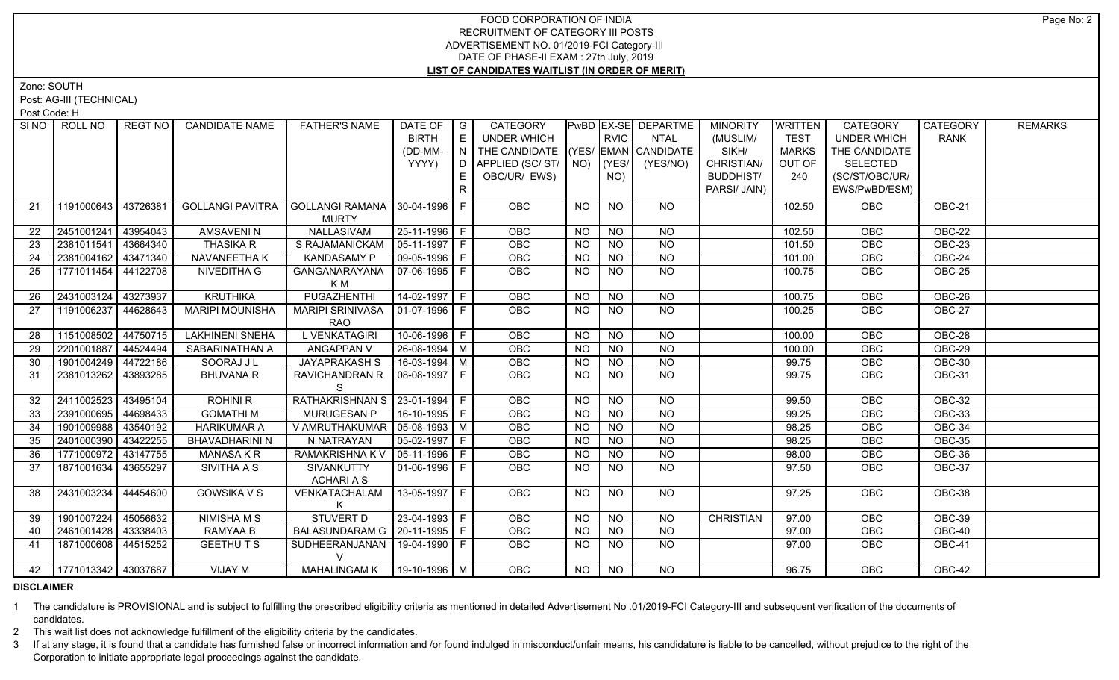# FOOD CORPORATION OF INDIA RECRUITMENT OF CATEGORY III POSTS ADVERTISEMENT NO. 01/2019-FCI Category-III DATE OF PHASE-II EXAM : 27th July, 2019 **LIST OF CANDIDATES WAITLIST (IN ORDER OF MERIT)**

Zone: SOUTH

Post: AG-III (TECHNICAL)

Post Code: H

| SI NO I | ROLL NO             | REGT NO  | <b>CANDIDATE NAME</b>   | <b>FATHER'S NAME</b>                             | DATE OF          | $\overline{\phantom{a}}$ $\overline{\phantom{a}}$ | CATEGORY                                                  |           |                | PwBD EX-SE DEPARTME | <b>MINORITY</b>     | WRITTEN                | CATEGORY                         | <b>CATEGORY</b> | <b>REMARKS</b> |
|---------|---------------------|----------|-------------------------|--------------------------------------------------|------------------|---------------------------------------------------|-----------------------------------------------------------|-----------|----------------|---------------------|---------------------|------------------------|----------------------------------|-----------------|----------------|
|         |                     |          |                         |                                                  | <b>BIRTH</b>     | E                                                 | <b>UNDER WHICH</b>                                        |           | <b>RVIC</b>    | <b>NTAL</b>         | (MUSLIM/            | <b>TEST</b>            | <b>UNDER WHICH</b>               | <b>RANK</b>     |                |
|         |                     |          |                         |                                                  | (DD-MM-<br>YYYY) | $\overline{\phantom{a}}$<br>D                     | THE CANDIDATE (YES/ EMAN CANDIDATE<br>APPLIED (SC/ST/ NO) |           | (YES/          | (YES/NO)            | SIKH/<br>CHRISTIAN/ | <b>MARKS</b><br>OUT OF | THE CANDIDATE<br><b>SELECTED</b> |                 |                |
|         |                     |          |                         |                                                  |                  |                                                   | OBC/UR/ EWS)                                              |           |                |                     | <b>BUDDHIST/</b>    |                        | (SC/ST/OBC/UR/                   |                 |                |
|         |                     |          |                         |                                                  |                  | E.                                                |                                                           |           | NO)            |                     | PARSI/ JAIN)        | 240                    |                                  |                 |                |
|         |                     |          |                         |                                                  |                  | R                                                 |                                                           |           |                |                     |                     |                        | EWS/PwBD/ESM)                    |                 |                |
| 21      | 1191000643          | 43726381 | <b>GOLLANGI PAVITRA</b> | GOLLANGI RAMANA   30-04-1996   F<br><b>MURTY</b> |                  |                                                   | OBC                                                       | <b>NO</b> | <b>NO</b>      | <b>NO</b>           |                     | 102.50                 | <b>OBC</b>                       | OBC-21          |                |
| 22      | 2451001241          | 43954043 | <b>AMSAVENIN</b>        | NALLASIVAM                                       | 25-11-1996 F     |                                                   | OBC                                                       | <b>NO</b> | <b>NO</b>      | <b>NO</b>           |                     | 102.50                 | OBC                              | OBC-22          |                |
| 23      | 2381011541          | 43664340 | <b>THASIKA R</b>        | S RAJAMANICKAM                                   | 05-11-1997   F   |                                                   | OBC                                                       | <b>NO</b> | <b>NO</b>      | <b>NO</b>           |                     | 101.50                 | OBC                              | OBC-23          |                |
| 24      | 2381004162 43471340 |          | NAVANEETHA K            | <b>KANDASAMY P</b>                               | 09-05-1996   F   |                                                   | OBC                                                       | <b>NO</b> | <b>NO</b>      | <b>NO</b>           |                     | 101.00                 | OBC                              | OBC-24          |                |
| 25      | 1771011454 44122708 |          | NIVEDITHA G             | GANGANARAYANA                                    | 07-06-1995 F     |                                                   | OBC                                                       | <b>NO</b> | NO.            | <b>NO</b>           |                     | 100.75                 | OBC                              | OBC-25          |                |
|         |                     |          |                         | K M                                              |                  |                                                   |                                                           |           |                |                     |                     |                        |                                  |                 |                |
| 26      | 2431003124          | 43273937 | <b>KRUTHIKA</b>         | <b>PUGAZHENTHI</b>                               | $14-02-1997$ F   |                                                   | OBC                                                       | <b>NO</b> | N <sub>O</sub> | $\overline{NO}$     |                     | 100.75                 | OBC                              | $OBC-26$        |                |
| 27      | 1191006237          | 44628643 | <b>MARIPI MOUNISHA</b>  | <b>MARIPI SRINIVASA</b>                          | 01-07-1996   F   |                                                   | <b>OBC</b>                                                | NO.       | <b>NO</b>      | <b>NO</b>           |                     | 100.25                 | OBC                              | OBC-27          |                |
|         |                     |          |                         | <b>RAO</b>                                       |                  |                                                   |                                                           |           |                |                     |                     |                        |                                  |                 |                |
| 28      | 1151008502          | 44750715 | <b>LAKHINENI SNEHA</b>  | L VENKATAGIRI                                    | 10-06-1996 F     |                                                   | OBC                                                       | <b>NO</b> | <b>NO</b>      | <b>NO</b>           |                     | 100.00                 | OBC                              | OBC-28          |                |
| 29      | 2201001887          | 44524494 | SABARINATHAN A          | <b>ANGAPPAN V</b>                                | 26-08-1994   M   |                                                   | OBC                                                       | <b>NO</b> | <b>NO</b>      | <b>NO</b>           |                     | 100.00                 | OBC                              | OBC-29          |                |
| 30      | 1901004249          | 44722186 | SOORAJ J L              | JAYAPRAKASH S                                    | $16-03-1994$ M   |                                                   | OBC                                                       | <b>NO</b> | <b>NO</b>      | <b>NO</b>           |                     | 99.75                  | OBC                              | OBC-30          |                |
| 31      | 2381013262 43893285 |          | <b>BHUVANA R</b>        | RAVICHANDRAN R                                   | $ 08-08-1997 F$  |                                                   | <b>OBC</b>                                                | <b>NO</b> | NO.            | <b>NO</b>           |                     | 99.75                  | OBC                              | OBC-31          |                |
|         |                     |          |                         |                                                  |                  |                                                   |                                                           |           |                |                     |                     |                        |                                  |                 |                |
| 32      | 2411002523          | 43495104 | <b>ROHINI R</b>         | RATHAKRISHNAN S   23-01-1994   F                 |                  |                                                   | OBC                                                       | <b>NO</b> | <b>NO</b>      | <b>NO</b>           |                     | 99.50                  | OBC                              | <b>OBC-32</b>   |                |
| 33      | 2391000695          | 44698433 | <b>GOMATHIM</b>         | MURUGESAN P                                      | 16-10-1995 F     |                                                   | OBC                                                       | <b>NO</b> | <b>NO</b>      | <b>NO</b>           |                     | 99.25                  | OBC                              | OBC-33          |                |
| 34      | 1901009988          | 43540192 | <b>HARIKUMAR A</b>      | V AMRUTHAKUMAR   05-08-1993   M                  |                  |                                                   | OBC                                                       | <b>NO</b> | <b>NO</b>      | <b>NO</b>           |                     | 98.25                  | OBC                              | OBC-34          |                |
| 35      | 2401000390          | 43422255 | <b>BHAVADHARINI N</b>   | N NATRAYAN                                       | 05-02-1997 F     |                                                   | <b>OBC</b>                                                | <b>NO</b> | <b>NO</b>      | <b>NO</b>           |                     | 98.25                  | OBC                              | OBC-35          |                |
| 36      | 1771000972 43147755 |          | <b>MANASA K R</b>       | RAMAKRISHNA KV                                   | 05-11-1996 F     |                                                   | OBC                                                       | <b>NO</b> | <b>NO</b>      | <b>NO</b>           |                     | 98.00                  | OBC                              | <b>OBC-36</b>   |                |
| 37      | 1871001634          | 43655297 | SIVITHA A S             | SIVANKUTTY                                       | 01-06-1996 F     |                                                   | OBC                                                       | <b>NO</b> | <b>NO</b>      | <b>NO</b>           |                     | 97.50                  | OBC                              | OBC-37          |                |
|         |                     |          |                         | <b>ACHARIAS</b>                                  |                  |                                                   |                                                           |           |                |                     |                     |                        |                                  |                 |                |
| 38      | 2431003234          | 44454600 | <b>GOWSIKA V S</b>      | VENKATACHALAM                                    | 13-05-1997 F     |                                                   | <b>OBC</b>                                                | <b>NO</b> | <b>NO</b>      | NO.                 |                     | 97.25                  | <b>OBC</b>                       | OBC-38          |                |
|         |                     |          |                         |                                                  |                  |                                                   |                                                           |           |                |                     |                     |                        |                                  |                 |                |
| 39      | 1901007224          | 45056632 | NIMISHA M S             | STUVERT D                                        | 23-04-1993 F     |                                                   | <b>OBC</b>                                                | <b>NO</b> | <b>NO</b>      | <b>NO</b>           | <b>CHRISTIAN</b>    | 97.00                  | OBC                              | OBC-39          |                |
| 40      | 2461001428          | 43338403 | RAMYAA B                | BALASUNDARAM G   20-11-1995   F                  |                  |                                                   | OBC                                                       | <b>NO</b> | <b>NO</b>      | <b>NO</b>           |                     | 97.00                  | OBC                              | OBC-40          |                |
| 41      | 1871000608 44515252 |          | <b>GEETHUTS</b>         | SUDHEERANJANAN   19-04-1990   F                  |                  |                                                   | <b>OBC</b>                                                | NO.       | NO.            | NO.                 |                     | 97.00                  | <b>OBC</b>                       | OBC-41          |                |
| 42      | 1771013342 43037687 |          | VIJAY M                 | MAHALINGAM K   19-10-1996   M                    |                  |                                                   | <b>OBC</b>                                                | NO.       | NO             | NO.                 |                     | 96.75                  | <b>OBC</b>                       | OBC-42          |                |
|         |                     |          |                         |                                                  |                  |                                                   |                                                           |           |                |                     |                     |                        |                                  |                 |                |

# **DISCLAIMER**

1 The candidature is PROVISIONAL and is subject to fulfilling the prescribed eligibility criteria as mentioned in detailed Advertisement No .01/2019-FCI Category-III and subsequent verification of the documents of candidates.

2 This wait list does not acknowledge fulfillment of the eligibility criteria by the candidates.

3 If at any stage, it is found that a candidate has furnished false or incorrect information and /or found indulged in misconduct/unfair means, his candidature is liable to be cancelled, without prejudice to the right of t Corporation to initiate appropriate legal proceedings against the candidate.

Page No: 2